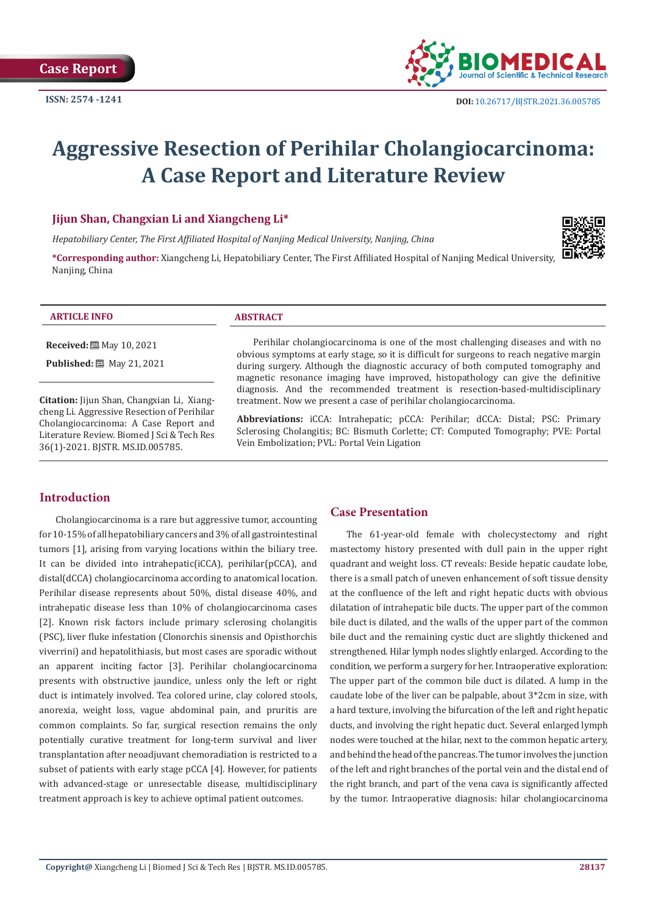

# **Aggressive Resection of Perihilar Cholangiocarcinoma: A Case Report and Literature Review**

# **Jijun Shan, Changxian Li and Xiangcheng Li\***

*Hepatobiliary Center, The First Affiliated Hospital of Nanjing Medical University, Nanjing, China*

**\*Corresponding author:** Xiangcheng Li, Hepatobiliary Center, The First Affiliated Hospital of Nanjing Medical University, Nanjing, China

#### **ARTICLE INFO ABSTRACT**

**Received:** 圖 May 10, 2021

**Published:** 圖 May 21, 2021

**Citation:** Jijun Shan, Changxian Li, Xiangcheng Li. Aggressive Resection of Perihilar Cholangiocarcinoma: A Case Report and Literature Review. Biomed J Sci & Tech Res 36(1)-2021. BJSTR. MS.ID.005785.

Perihilar cholangiocarcinoma is one of the most challenging diseases and with no obvious symptoms at early stage, so it is difficult for surgeons to reach negative margin during surgery. Although the diagnostic accuracy of both computed tomography and magnetic resonance imaging have improved, histopathology can give the definitive diagnosis. And the recommended treatment is resection-based-multidisciplinary treatment. Now we present a case of perihilar cholangiocarcinoma.

**Abbreviations:** iCCA: Intrahepatic; pCCA: Perihilar; dCCA: Distal; PSC: Primary Sclerosing Cholangitis; BC: Bismuth Corlette; CT: Computed Tomography; PVE: Portal Vein Embolization; PVL: Portal Vein Ligation

# **Introduction**

Cholangiocarcinoma is a rare but aggressive tumor, accounting for 10-15% of all hepatobiliary cancers and 3% of all gastrointestinal tumors [1], arising from varying locations within the biliary tree. It can be divided into intrahepatic(iCCA), perihilar(pCCA), and distal(dCCA) cholangiocarcinoma according to anatomical location. Perihilar disease represents about 50%, distal disease 40%, and intrahepatic disease less than 10% of cholangiocarcinoma cases [2]. Known risk factors include primary sclerosing cholangitis (PSC), liver fluke infestation (Clonorchis sinensis and Opisthorchis viverrini) and hepatolithiasis, but most cases are sporadic without an apparent inciting factor [3]. Perihilar cholangiocarcinoma presents with obstructive jaundice, unless only the left or right duct is intimately involved. Tea colored urine, clay colored stools, anorexia, weight loss, vague abdominal pain, and pruritis are common complaints. So far, surgical resection remains the only potentially curative treatment for long-term survival and liver transplantation after neoadjuvant chemoradiation is restricted to a subset of patients with early stage pCCA [4]. However, for patients with advanced-stage or unresectable disease, multidisciplinary treatment approach is key to achieve optimal patient outcomes.

# **Case Presentation**

The 61-year-old female with cholecystectomy and right mastectomy history presented with dull pain in the upper right quadrant and weight loss. CT reveals: Beside hepatic caudate lobe, there is a small patch of uneven enhancement of soft tissue density at the confluence of the left and right hepatic ducts with obvious dilatation of intrahepatic bile ducts. The upper part of the common bile duct is dilated, and the walls of the upper part of the common bile duct and the remaining cystic duct are slightly thickened and strengthened. Hilar lymph nodes slightly enlarged. According to the condition, we perform a surgery for her. Intraoperative exploration: The upper part of the common bile duct is dilated. A lump in the caudate lobe of the liver can be palpable, about 3\*2cm in size, with a hard texture, involving the bifurcation of the left and right hepatic ducts, and involving the right hepatic duct. Several enlarged lymph nodes were touched at the hilar, next to the common hepatic artery, and behind the head of the pancreas. The tumor involves the junction of the left and right branches of the portal vein and the distal end of the right branch, and part of the vena cava is significantly affected by the tumor. Intraoperative diagnosis: hilar cholangiocarcinoma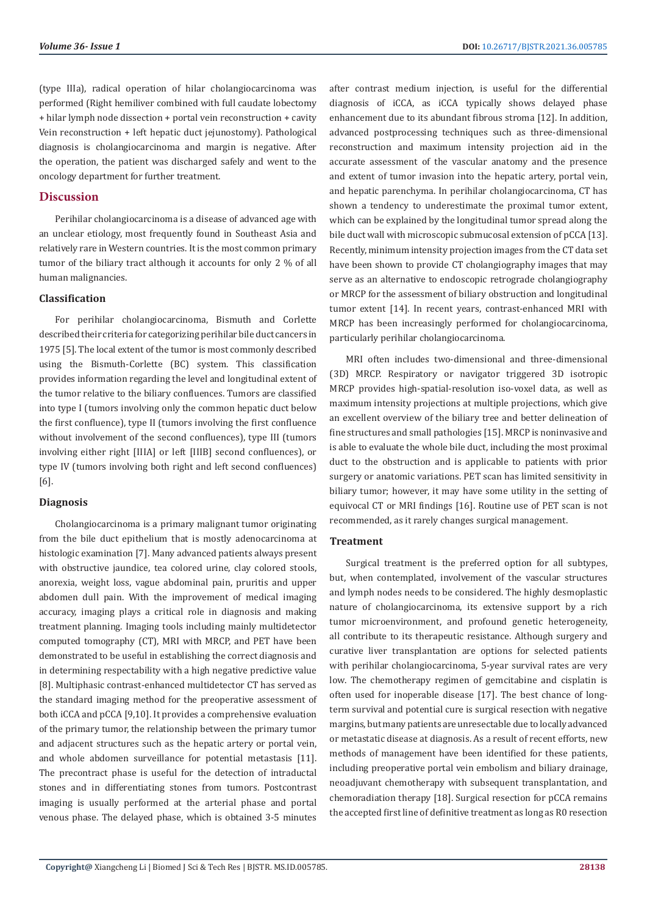(type IIIa), radical operation of hilar cholangiocarcinoma was performed (Right hemiliver combined with full caudate lobectomy + hilar lymph node dissection + portal vein reconstruction + cavity Vein reconstruction + left hepatic duct jejunostomy). Pathological diagnosis is cholangiocarcinoma and margin is negative. After the operation, the patient was discharged safely and went to the oncology department for further treatment.

# **Discussion**

Perihilar cholangiocarcinoma is a disease of advanced age with an unclear etiology, most frequently found in Southeast Asia and relatively rare in Western countries. It is the most common primary tumor of the biliary tract although it accounts for only 2 % of all human malignancies.

#### **Classification**

For perihilar cholangiocarcinoma, Bismuth and Corlette described their criteria for categorizing perihilar bile duct cancers in 1975 [5]. The local extent of the tumor is most commonly described using the Bismuth-Corlette (BC) system. This classification provides information regarding the level and longitudinal extent of the tumor relative to the biliary confluences. Tumors are classified into type I (tumors involving only the common hepatic duct below the first confluence), type II (tumors involving the first confluence without involvement of the second confluences), type III (tumors involving either right [IIIA] or left [IIIB] second confluences), or type IV (tumors involving both right and left second confluences) [6].

#### **Diagnosis**

Cholangiocarcinoma is a primary malignant tumor originating from the bile duct epithelium that is mostly adenocarcinoma at histologic examination [7]. Many advanced patients always present with obstructive jaundice, tea colored urine, clay colored stools, anorexia, weight loss, vague abdominal pain, pruritis and upper abdomen dull pain. With the improvement of medical imaging accuracy, imaging plays a critical role in diagnosis and making treatment planning. Imaging tools including mainly multidetector computed tomography (CT), MRI with MRCP, and PET have been demonstrated to be useful in establishing the correct diagnosis and in determining respectability with a high negative predictive value [8]. Multiphasic contrast-enhanced multidetector CT has served as the standard imaging method for the preoperative assessment of both iCCA and pCCA [9,10]. It provides a comprehensive evaluation of the primary tumor, the relationship between the primary tumor and adjacent structures such as the hepatic artery or portal vein, and whole abdomen surveillance for potential metastasis [11]. The precontract phase is useful for the detection of intraductal stones and in differentiating stones from tumors. Postcontrast imaging is usually performed at the arterial phase and portal venous phase. The delayed phase, which is obtained 3-5 minutes

after contrast medium injection, is useful for the differential diagnosis of iCCA, as iCCA typically shows delayed phase enhancement due to its abundant fibrous stroma [12]. In addition, advanced postprocessing techniques such as three-dimensional reconstruction and maximum intensity projection aid in the accurate assessment of the vascular anatomy and the presence and extent of tumor invasion into the hepatic artery, portal vein, and hepatic parenchyma. In perihilar cholangiocarcinoma, CT has shown a tendency to underestimate the proximal tumor extent, which can be explained by the longitudinal tumor spread along the bile duct wall with microscopic submucosal extension of pCCA [13]. Recently, minimum intensity projection images from the CT data set have been shown to provide CT cholangiography images that may serve as an alternative to endoscopic retrograde cholangiography or MRCP for the assessment of biliary obstruction and longitudinal tumor extent [14]. In recent years, contrast-enhanced MRI with MRCP has been increasingly performed for cholangiocarcinoma, particularly perihilar cholangiocarcinoma.

MRI often includes two-dimensional and three-dimensional (3D) MRCP. Respiratory or navigator triggered 3D isotropic MRCP provides high-spatial-resolution iso-voxel data, as well as maximum intensity projections at multiple projections, which give an excellent overview of the biliary tree and better delineation of fine structures and small pathologies [15]. MRCP is noninvasive and is able to evaluate the whole bile duct, including the most proximal duct to the obstruction and is applicable to patients with prior surgery or anatomic variations. PET scan has limited sensitivity in biliary tumor; however, it may have some utility in the setting of equivocal CT or MRI findings [16]. Routine use of PET scan is not recommended, as it rarely changes surgical management.

### **Treatment**

Surgical treatment is the preferred option for all subtypes, but, when contemplated, involvement of the vascular structures and lymph nodes needs to be considered. The highly desmoplastic nature of cholangiocarcinoma, its extensive support by a rich tumor microenvironment, and profound genetic heterogeneity, all contribute to its therapeutic resistance. Although surgery and curative liver transplantation are options for selected patients with perihilar cholangiocarcinoma, 5-year survival rates are very low. The chemotherapy regimen of gemcitabine and cisplatin is often used for inoperable disease [17]. The best chance of longterm survival and potential cure is surgical resection with negative margins, but many patients are unresectable due to locally advanced or metastatic disease at diagnosis. As a result of recent efforts, new methods of management have been identified for these patients, including preoperative portal vein embolism and biliary drainage, neoadjuvant chemotherapy with subsequent transplantation, and chemoradiation therapy [18]. Surgical resection for pCCA remains the accepted first line of definitive treatment as long as R0 resection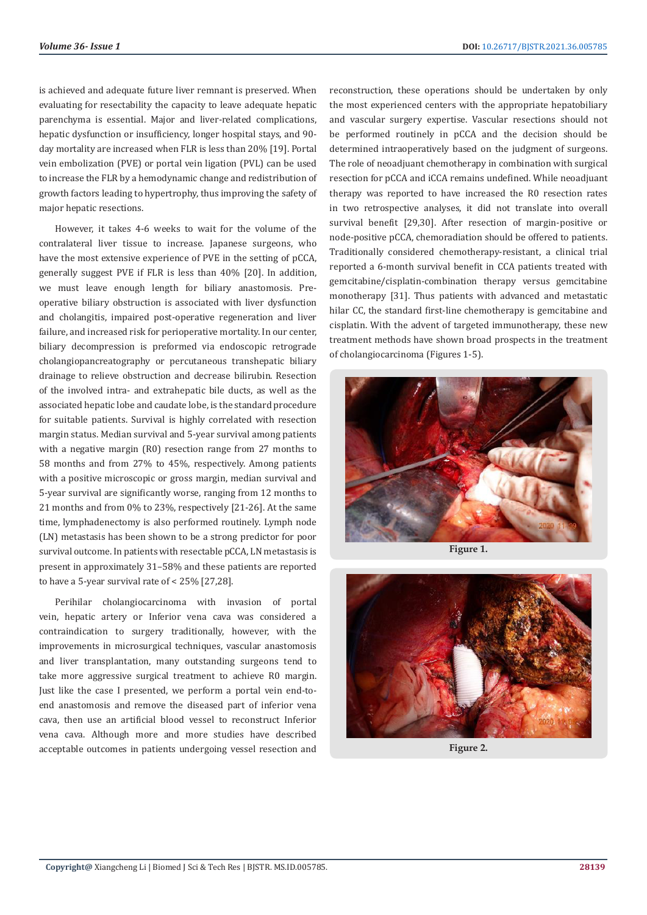is achieved and adequate future liver remnant is preserved. When evaluating for resectability the capacity to leave adequate hepatic parenchyma is essential. Major and liver-related complications, hepatic dysfunction or insufficiency, longer hospital stays, and 90 day mortality are increased when FLR is less than 20% [19]. Portal vein embolization (PVE) or portal vein ligation (PVL) can be used to increase the FLR by a hemodynamic change and redistribution of growth factors leading to hypertrophy, thus improving the safety of major hepatic resections.

However, it takes 4-6 weeks to wait for the volume of the contralateral liver tissue to increase. Japanese surgeons, who have the most extensive experience of PVE in the setting of pCCA, generally suggest PVE if FLR is less than 40% [20]. In addition, we must leave enough length for biliary anastomosis. Preoperative biliary obstruction is associated with liver dysfunction and cholangitis, impaired post-operative regeneration and liver failure, and increased risk for perioperative mortality. In our center, biliary decompression is preformed via endoscopic retrograde cholangiopancreatography or percutaneous transhepatic biliary drainage to relieve obstruction and decrease bilirubin. Resection of the involved intra- and extrahepatic bile ducts, as well as the associated hepatic lobe and caudate lobe, is the standard procedure for suitable patients. Survival is highly correlated with resection margin status. Median survival and 5-year survival among patients with a negative margin (R0) resection range from 27 months to 58 months and from 27% to 45%, respectively. Among patients with a positive microscopic or gross margin, median survival and 5-year survival are significantly worse, ranging from 12 months to 21 months and from 0% to 23%, respectively [21-26]. At the same time, lymphadenectomy is also performed routinely. Lymph node (LN) metastasis has been shown to be a strong predictor for poor survival outcome. In patients with resectable pCCA, LN metastasis is present in approximately 31–58% and these patients are reported to have a 5-year survival rate of < 25% [27,28].

Perihilar cholangiocarcinoma with invasion of portal vein, hepatic artery or Inferior vena cava was considered a contraindication to surgery traditionally, however, with the improvements in microsurgical techniques, vascular anastomosis and liver transplantation, many outstanding surgeons tend to take more aggressive surgical treatment to achieve R0 margin. Just like the case I presented, we perform a portal vein end-toend anastomosis and remove the diseased part of inferior vena cava, then use an artificial blood vessel to reconstruct Inferior vena cava. Although more and more studies have described acceptable outcomes in patients undergoing vessel resection and

reconstruction, these operations should be undertaken by only the most experienced centers with the appropriate hepatobiliary and vascular surgery expertise. Vascular resections should not be performed routinely in pCCA and the decision should be determined intraoperatively based on the judgment of surgeons. The role of neoadjuant chemotherapy in combination with surgical resection for pCCA and iCCA remains undefined. While neoadjuant therapy was reported to have increased the R0 resection rates in two retrospective analyses, it did not translate into overall survival benefit [29,30]. After resection of margin-positive or node-positive pCCA, chemoradiation should be offered to patients. Traditionally considered chemotherapy-resistant, a clinical trial reported a 6-month survival benefit in CCA patients treated with gemcitabine/cisplatin-combination therapy versus gemcitabine monotherapy [31]. Thus patients with advanced and metastatic hilar CC, the standard first-line chemotherapy is gemcitabine and cisplatin. With the advent of targeted immunotherapy, these new treatment methods have shown broad prospects in the treatment of cholangiocarcinoma (Figures 1-5).



**Figure 1.**



**Figure 2.**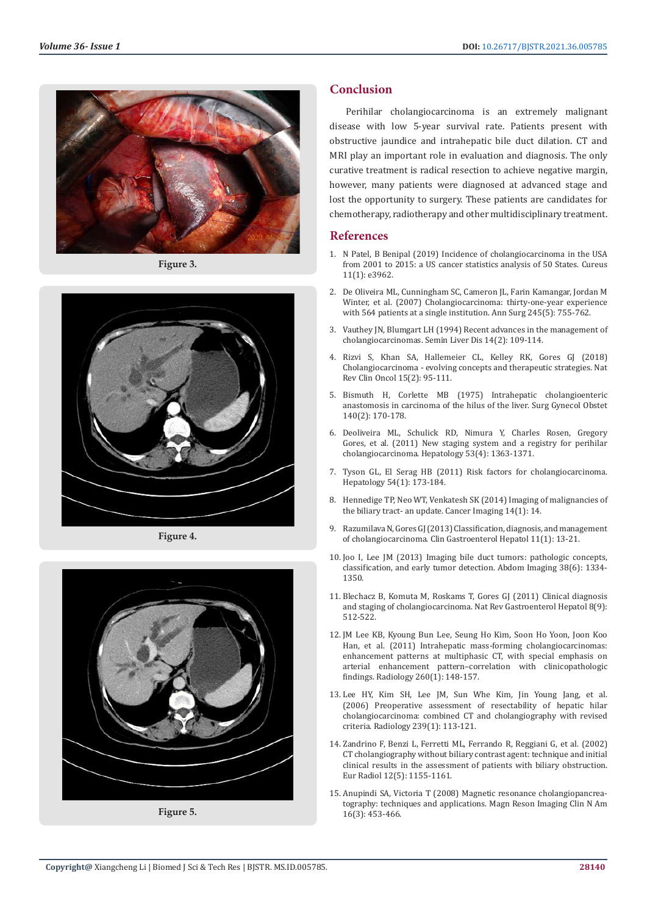

**Figure 3.**



**Figure 4.**



**Figure 5.**

# **Conclusion**

Perihilar cholangiocarcinoma is an extremely malignant disease with low 5-year survival rate. Patients present with obstructive jaundice and intrahepatic bile duct dilation. CT and MRI play an important role in evaluation and diagnosis. The only curative treatment is radical resection to achieve negative margin, however, many patients were diagnosed at advanced stage and lost the opportunity to surgery. These patients are candidates for chemotherapy, radiotherapy and other multidisciplinary treatment.

# **References**

- 1. [N Patel, B Benipal \(2019\) Incidence of cholangiocarcinoma in the USA](https://pubmed.ncbi.nlm.nih.gov/30956914/) [from 2001 to 2015: a US cancer statistics analysis of 50 States. Cureus](https://pubmed.ncbi.nlm.nih.gov/30956914/) [11\(1\): e3962.](https://pubmed.ncbi.nlm.nih.gov/30956914/)
- 2. [De Oliveira ML, Cunningham SC, Cameron JL, Farin Kamangar, Jordan M](https://pubmed.ncbi.nlm.nih.gov/17457168/) [Winter, et al. \(2007\) Cholangiocarcinoma: thirty-one-year experience](https://pubmed.ncbi.nlm.nih.gov/17457168/) [with 564 patients at a single institution. Ann Surg 245\(5\): 755-762.](https://pubmed.ncbi.nlm.nih.gov/17457168/)
- 3. [Vauthey JN, Blumgart LH \(1994\) Recent advances in the management of](https://pubmed.ncbi.nlm.nih.gov/8047893/) [cholangiocarcinomas. Semin Liver Dis 14\(2\): 109-114.](https://pubmed.ncbi.nlm.nih.gov/8047893/)
- 4. [Rizvi S, Khan SA, Hallemeier CL, Kelley RK, Gores GJ \(2018\)](https://pubmed.ncbi.nlm.nih.gov/28994423/) [Cholangiocarcinoma - evolving concepts and therapeutic strategies. Nat](https://pubmed.ncbi.nlm.nih.gov/28994423/) [Rev Clin Oncol 15\(2\): 95-111.](https://pubmed.ncbi.nlm.nih.gov/28994423/)
- 5. [Bismuth H, Corlette MB \(1975\) Intrahepatic cholangioenteric](https://pubmed.ncbi.nlm.nih.gov/1079096/) [anastomosis in carcinoma of the hilus of the liver. Surg Gynecol Obstet](https://pubmed.ncbi.nlm.nih.gov/1079096/) [140\(2\): 170-178.](https://pubmed.ncbi.nlm.nih.gov/1079096/)
- 6. [Deoliveira ML, Schulick RD, Nimura Y, Charles Rosen, Gregory](https://pubmed.ncbi.nlm.nih.gov/21480336/) [Gores, et al. \(2011\) New staging system and a registry for perihilar](https://pubmed.ncbi.nlm.nih.gov/21480336/) [cholangiocarcinoma. Hepatology 53\(4\): 1363-1371.](https://pubmed.ncbi.nlm.nih.gov/21480336/)
- 7. [Tyson GL, El Serag HB \(2011\) Risk factors for cholangiocarcinoma.](https://pubmed.ncbi.nlm.nih.gov/21488076/) [Hepatology 54\(1\): 173-184.](https://pubmed.ncbi.nlm.nih.gov/21488076/)
- 8. [Hennedige TP, Neo WT, Venkatesh SK \(2014\) Imaging of malignancies of](https://pubmed.ncbi.nlm.nih.gov/25608662/) [the biliary tract- an update. Cancer Imaging 14\(1\): 14.](https://pubmed.ncbi.nlm.nih.gov/25608662/)
- 9. [Razumilava N, Gores GJ \(2013\) Classification, diagnosis, and management](https://pubmed.ncbi.nlm.nih.gov/22982100/) [of cholangiocarcinoma. Clin Gastroenterol Hepatol 11\(1\): 13-21.](https://pubmed.ncbi.nlm.nih.gov/22982100/)
- 10. [Joo I, Lee JM \(2013\) Imaging bile duct tumors: pathologic concepts,](https://pubmed.ncbi.nlm.nih.gov/23925840/) [classification, and early tumor detection. Abdom Imaging 38\(6\): 1334-](https://pubmed.ncbi.nlm.nih.gov/23925840/) [1350.](https://pubmed.ncbi.nlm.nih.gov/23925840/)
- 11. [Blechacz B, Komuta M, Roskams T, Gores GJ \(2011\) Clinical diagnosis](https://pubmed.ncbi.nlm.nih.gov/21808282/) [and staging of cholangiocarcinoma. Nat Rev Gastroenterol Hepatol 8\(9\):](https://pubmed.ncbi.nlm.nih.gov/21808282/) [512-522.](https://pubmed.ncbi.nlm.nih.gov/21808282/)
- 12. [JM Lee KB, Kyoung Bun Lee, Seung Ho Kim, Soon Ho Yoon, Joon Koo](https://pubmed.ncbi.nlm.nih.gov/21474703/) [Han, et al. \(2011\) Intrahepatic mass-forming cholangiocarcinomas:](https://pubmed.ncbi.nlm.nih.gov/21474703/) [enhancement patterns at multiphasic CT, with special emphasis on](https://pubmed.ncbi.nlm.nih.gov/21474703/) [arterial enhancement pattern–correlation with clinicopathologic](https://pubmed.ncbi.nlm.nih.gov/21474703/) [findings. Radiology 260\(1\): 148-157.](https://pubmed.ncbi.nlm.nih.gov/21474703/)
- 13. [Lee HY, Kim SH, Lee JM, Sun Whe Kim, Jin Young Jang, et al.](https://pubmed.ncbi.nlm.nih.gov/16467211/) [\(2006\) Preoperative assessment of resectability of hepatic hilar](https://pubmed.ncbi.nlm.nih.gov/16467211/) [cholangiocarcinoma: combined CT and cholangiography with revised](https://pubmed.ncbi.nlm.nih.gov/16467211/) [criteria. Radiology 239\(1\): 113-121.](https://pubmed.ncbi.nlm.nih.gov/16467211/)
- 14. [Zandrino F, Benzi L, Ferretti ML, Ferrando R, Reggiani G, et al. \(2002\)](https://link.springer.com/article/10.1007/s00330-001-1188-y) [CT cholangiography without biliary contrast agent: technique and initial](https://link.springer.com/article/10.1007/s00330-001-1188-y) [clinical results in the assessment of patients with biliary obstruction.](https://link.springer.com/article/10.1007/s00330-001-1188-y) [Eur Radiol 12\(5\): 1155-1161.](https://link.springer.com/article/10.1007/s00330-001-1188-y)
- 15. [Anupindi SA, Victoria T \(2008\) Magnetic resonance cholangiopancrea](https://pubmed.ncbi.nlm.nih.gov/18585598/)[tography: techniques and applications. Magn Reson Imaging Clin N Am](https://pubmed.ncbi.nlm.nih.gov/18585598/) [16\(3\): 453-466.](https://pubmed.ncbi.nlm.nih.gov/18585598/)